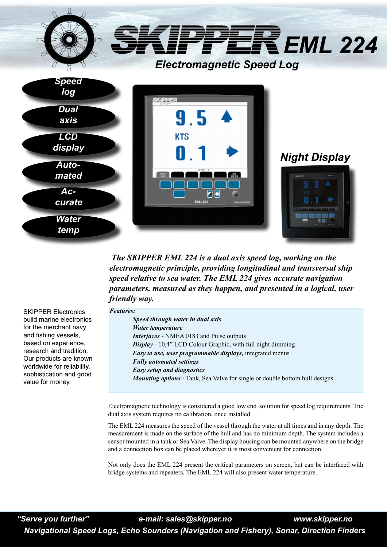

*The SKIPPER EML 224 is a dual axis speed log, working on the electromagnetic principle, providing longitudinal and transversal ship speed relative to sea water. The EML 224 gives accurate navigation parameters, measured as they happen, and presented in a logical, user friendly way.* 

SKIPPER Electronics build marine electronics for the merchant navy and fishing vessels, based on experience, research and tradition. Our products are known worldwide for reliability, sophistication and good value for money.

## *Features:*

Electromagnetic technology is considered a good low end solution for speed log requirements. The dual axis system requires no calibration, once installed.

The EML 224 measures the speed of the vessel through the water at all times and in any depth. The measurement is made on the surface of the hull and has no minimum depth. The system includes a sensor mounted in a tank or Sea Valve. The display housing can be mounted anywhere on the bridge and a connection box can be placed wherever it is most convenient for connection.

Not only does the EML 224 present the critical parameters on screen, but can be interfaced with bridge systems and repeaters. The EML 224 will also present water temperature.